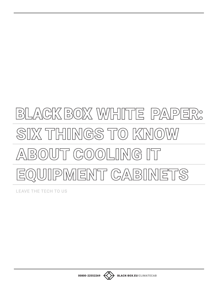# BILACK BOX WIHITE PAPER: SIX THINGS TO KNOW ABOUT COOLING IT EQUIPMENT CABINETS

**LEAVE THE TECH TO US** 



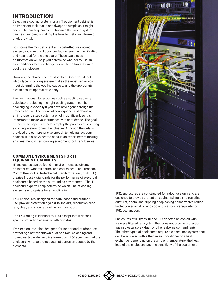# INTRODUCTION

Selecting a cooling system for an IT equipment cabinet is an important task that is not always as simple as it might seem. The consequences of choosing the wrong system can be significant, so taking the time to make an informed choice is vital.

To choose the most efficient and cost-effective cooling system, you must first consider factors such as the IP rating and heat load for the enclosure. These two pieces of information will help you determine whether to use an air conditioner, heat exchanger, or a filtered fan system to cool the enclosure.

However, the choices do not stop there. Once you decide which type of cooling system makes the most sense, you must determine the cooling capacity and the appropriate size to ensure optimal efficiency.

Even with access to resources such as cooling capacity calculators, selecting the right cooling system can be challenging, especially if you have never gone through the process before. The financial consequences of choosing an improperly sized system are not insignificant, so it is important to make your purchase with confidence. The goal of this white paper is to help simplify the process of selecting a cooling system for an IT enclosure. Although the details provided are comprehensive enough to help narrow your choices, it is always best to consult an expert before making an investment in new cooling equipment for IT enclosures.

#### COMMON ENVIRONMENTS FOR IT EQUIPMENT CABINETS

IT enclosures can be found in environments as diverse as factories, windmill farms, and coal mines. The European Committee for Electrotechnical Standardization (CENELEC) creates industry standards for the performance of electrical enclosures based on the surrounding environment. The IP enclosure type will help determine which kind of cooling system is appropriate for an application.

IP54 enclosures, designed for both indoor and outdoor use, provide protection against falling dirt, windblown dust, rain, sleet, and snow, as well as ice formation.

The IP14 rating is identical to IP54 except that it doesn't specify protection against windblown dust.

IP66 enclosures, also designed for indoor and outdoor use, protect against windblown dust and rain, splashing and hose-directed water, and ice formation. IP66 specifies that the enclosure will also protect against corrosion caused by the elements.



IP52 enclosures are constructed for indoor use only and are designed to provide protection against falling dirt, circulating dust, lint, fibers, and dripping or splashing noncorrosive liquids. Protection against oil and coolant is also a prerequisite for IP52 designation.

Enclosures of IP types 10 and 11 can often be cooled with a simple filtered fan system that does not provide protection against water spray, dust, or other airborne contaminants. The other types of enclosures require a closed loop system that can be achieved with either an air conditioner or a heat exchanger depending on the ambient temperature, the heat load of the enclosure, and the sensitivity of the equipment.

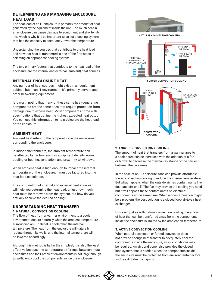# DETERMINING AND MANAGING ENCLOSURE HEAT LOAD

The heat load of an IT enclosure is primarily the amount of heat generated by the equipment inside the unit. Too much heat in an enclosure can cause damage to equipment and shorten its life, which is why it is so important to select a cooling system that has the capacity to adequately lower the temperature.

Understanding the sources that contribute to the heat load and how that heat is transferred is one of the first steps in selecting an appropriate cooling system.

The two primary factors that contribute to the heat load of the enclosure are the internal and external (ambient) heat sources.

## INTERNAL ENCLOSURE HEAT

Any number of heat sources might exist in an equipment cabinet, but in an IT environment, it's primarily servers and other networking equipment.

It is worth noting that many of these same heat-generating components are the same ones that require protection from damage due to excess heat. Most components come with specifications that outline the highest expected heat output. You can use this information to help calculate the heat load of the enclosure.

# AMBIENT HEAT

Ambient heat refers to the temperature in the environment surrounding the enclosure.

In indoor environments, the ambient temperature can be affected by factors such as equipment density, room cooling or heating, ventilation, and proximity to windows.

When ambient heat is high enough to impact the internal temperature of the enclosure, it must be factored into the heat load calculation.

The combination of internal and external heat sources will help you determine the heat load, or just how much heat must be removed from the system, but how do you actually achieve the desired cooling?

#### UNDERSTANDING HEAT TRANSFER **1. NATURAL CONVECTION COOLING**

The flow of heat from a warmer environment to a cooler environment occurs naturally when the ambient temperature surrounding an IT cabinet is cooler than the internal temperature. The heat from the enclosure will naturally radiate through its walls, and the internal temperature will be lowered accordingly.

Although this method is by far the simplest, it is also the least effective because the temperature difference between most enclosures and their ambient environments is not large enough to sufficiently cool the components inside the enclosure.



#### **2. FORCED CONVECTION COOLING**

The amount of heat that transfers from a warmer area to a cooler area can be increased with the addition of a fan or blower to decrease the thermal resistance of the barrier between the two areas.

In the case of an IT enclosure, fans can provide affordable forced convection cooling to reduce the internal temperature. But what happens when the outside air has contaminants like dust and dirt or oil? The fan may provide the cooling you need, but it will deposit these contaminants on electrical components at the same time. When air contamination might be a problem, the best solution is a closed loop air-to-air heat exchanger.

However, just as with natural convection cooling, the amount of heat that can be transferred away from the components inside the enclosure is limited by the ambient air temperature.

#### **3. ACTIVE CONVECTION COOLING**

When natural convection or forced convection does not provide enough heat transfer to adequately cool the components inside the enclosure, an air conditioner may be required. An air conditioner also provides the closed loop system that is needed when the components inside the enclosure must be protected from environmental factors such as dirt, dust, or liquids.

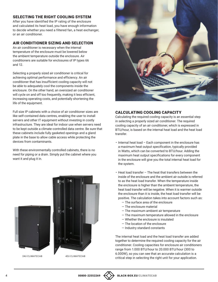#### SELECTING THE RIGHT COOLING SYSTEM

After you have identified the IP rating of the enclosure and calculated its heat load, you have enough information to decide whether you need a filtered fan, a heat exchanger, or an air conditioner.

## AIR CONDITIONER SIZING AND SELECTION

An air conditioner is necessary when the internal temperature of the enclosure must be lowered below the ambient temperature outside the enclosure. Air conditioners are suitable for enclosures of IP types 66 and 12.

Selecting a properly sized air conditioner is critical for achieving optimal performance and efficiency. An air conditioner that has insufficient cooling capacity will not be able to adequately cool the components inside the enclosure. On the other hand, an oversized air conditioner will cycle on and off too frequently, making it less efficient, increasing operating costs, and potentially shortening the life of the equipment.

Full size IP cabinets with a choice of air conditioner sizes are like self-contained data centres, enabling the user to install servers and other IT equipment without investing in costly infrastructure. They are ideal for indoor use when servers need to be kept outside a climate-controlled data centre. Be sure that these cabinets include fully gasketed openings and a gland plate in the base to allow cable access while protecting the devices from contaminants.

With these environmentally controlled cabinets, there is no need for piping or a drain. Simply put the cabinet where you want it and plug it in.





#### CALCULATING COOLING CAPACITY

Calculating the required cooling capacity is an essential step in selecting a properly sized air conditioner. The required cooling capacity of an air conditioner, which is expressed in BTU/hour, is based on the internal heat load and the heat load transfer.

- Internal heat load Each component in the enclosure has a maximum heat output specification, typically provided in Watts, which can be converted to BTU/hour. Adding the maximum heat output specifications for every component in the enclosure will give you the total internal heat load for the system.
- Heat load transfer The heat that transfers between the inside of the enclosure and the ambient air outside is referred to as the heat load transfer. When the temperature inside the enclosure is higher than the ambient temperature, the heat load transfer will be negative. When it is warmer outside the enclosure than it is inside, the heat load transfer will be positive. The calculation takes into account factors such as:
	- The surface area of the enclosure
	- The enclosure material
	- The maximum ambient air temperature
	- The maximum temperature allowed in the enclosure
	- Whether the enclosure is insulated
	- The location of the enclosure
	- Industry standard constants

The internal heat load and the heat load transfer are added together to determine the required cooling capacity for the air conditioner. Cooling capacities for enclosure air conditioners range from 1.000 BTU/hour to 20.000 BTU/hour (300 to 6.000W), so you can see that an accurate calculation is a critical step in selecting the right unit for your application. 24U CLIMATECAB 42U CLIMATECAB